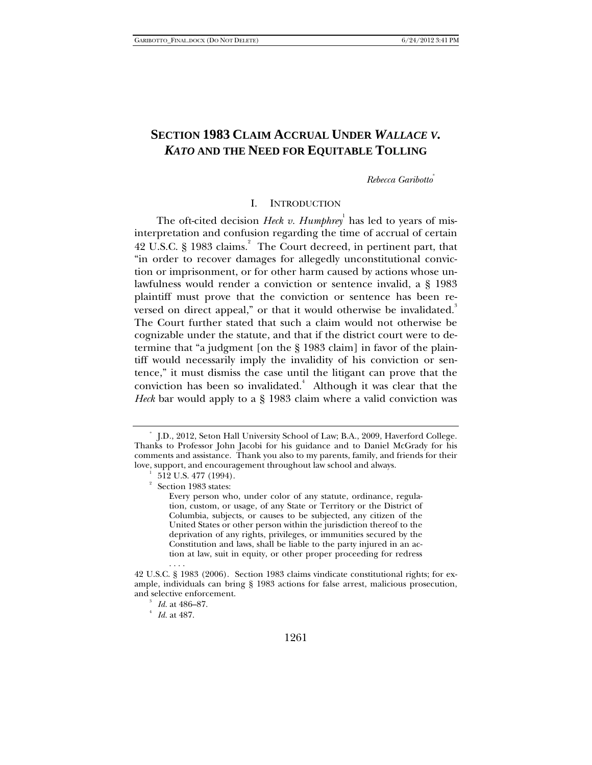# **SECTION 1983 CLAIM ACCRUAL UNDER** *WALLACE V. KATO* **AND THE NEED FOR EQUITABLE TOLLING**

### *Rebecca Garibotto*\*

### I. INTRODUCTION

The oft-cited decision *Heck v. Humphrey*<sup>1</sup> has led to years of misinterpretation and confusion regarding the time of accrual of certain 42 U.S.C. § 1983 claims.<sup>2</sup> The Court decreed, in pertinent part, that "in order to recover damages for allegedly unconstitutional conviction or imprisonment, or for other harm caused by actions whose unlawfulness would render a conviction or sentence invalid, a § 1983 plaintiff must prove that the conviction or sentence has been reversed on direct appeal," or that it would otherwise be invalidated. $^3$ The Court further stated that such a claim would not otherwise be cognizable under the statute, and that if the district court were to determine that "a judgment [on the § 1983 claim] in favor of the plaintiff would necessarily imply the invalidity of his conviction or sentence," it must dismiss the case until the litigant can prove that the conviction has been so invalidated. $4$  Although it was clear that the *Heck* bar would apply to a § 1983 claim where a valid conviction was

<sup>\*</sup> J.D., 2012, Seton Hall University School of Law; B.A., 2009, Haverford College. Thanks to Professor John Jacobi for his guidance and to Daniel McGrady for his comments and assistance. Thank you also to my parents, family, and friends for their love, support, and encouragement throughout law school and always.

 <sup>512</sup> U.S. 477 (1994).

<sup>2</sup> Section 1983 states:

Every person who, under color of any statute, ordinance, regulation, custom, or usage, of any State or Territory or the District of Columbia, subjects, or causes to be subjected, any citizen of the United States or other person within the jurisdiction thereof to the deprivation of any rights, privileges, or immunities secured by the Constitution and laws, shall be liable to the party injured in an action at law, suit in equity, or other proper proceeding for redress . . . .

<sup>42</sup> U.S.C. § 1983 (2006). Section 1983 claims vindicate constitutional rights; for example, individuals can bring § 1983 actions for false arrest, malicious prosecution, and selective enforcement.

<sup>&</sup>lt;sup>3</sup> *Id.* at 486–87.

*Id.* at 487.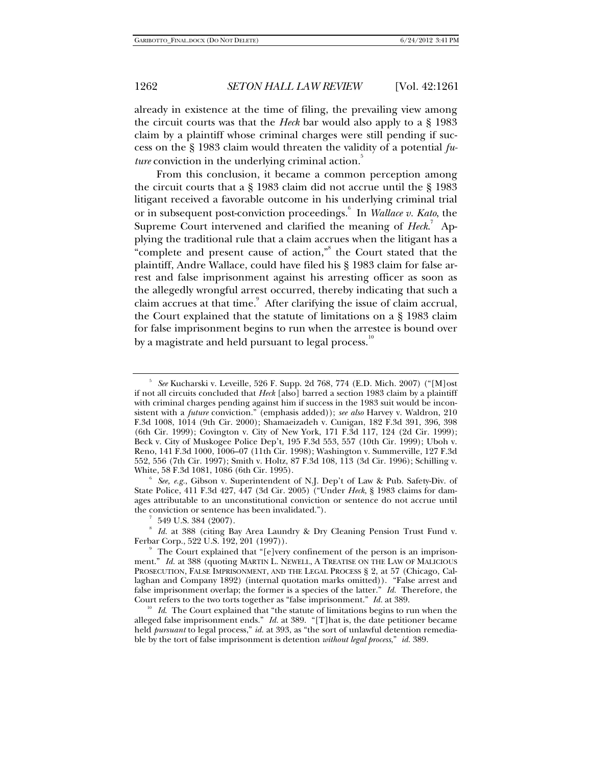already in existence at the time of filing, the prevailing view among the circuit courts was that the *Heck* bar would also apply to a § 1983 claim by a plaintiff whose criminal charges were still pending if success on the § 1983 claim would threaten the validity of a potential *future* conviction in the underlying criminal action.<sup>3</sup>

From this conclusion, it became a common perception among the circuit courts that a § 1983 claim did not accrue until the § 1983 litigant received a favorable outcome in his underlying criminal trial or in subsequent post-conviction proceedings.<sup>6</sup> In *Wallace v. Kato*, the Supreme Court intervened and clarified the meaning of *Heck*.<sup>7</sup> Applying the traditional rule that a claim accrues when the litigant has a "complete and present cause of action," the Court stated that the plaintiff, Andre Wallace, could have filed his § 1983 claim for false arrest and false imprisonment against his arresting officer as soon as the allegedly wrongful arrest occurred, thereby indicating that such a claim accrues at that time.<sup>9</sup> After clarifying the issue of claim accrual, the Court explained that the statute of limitations on a § 1983 claim for false imprisonment begins to run when the arrestee is bound over by a magistrate and held pursuant to legal process.<sup>10</sup>

<sup>6</sup> See, e.g., Gibson v. Superintendent of N.J. Dep't of Law & Pub. Safety-Div. of State Police, 411 F.3d 427, 447 (3d Cir. 2005) ("Under *Heck*, § 1983 claims for damages attributable to an unconstitutional conviction or sentence do not accrue until the conviction or sentence has been invalidated.").

549 U.S. 384 (2007).

8  *Id.* at 388 (citing Bay Area Laundry & Dry Cleaning Pension Trust Fund v. Ferbar Corp., 522 U.S. 192, 201 (1997)).

<sup>5</sup>  *See* Kucharski v. Leveille, 526 F. Supp. 2d 768, 774 (E.D. Mich. 2007) ("[M]ost if not all circuits concluded that *Heck* [also] barred a section 1983 claim by a plaintiff with criminal charges pending against him if success in the 1983 suit would be inconsistent with a *future* conviction." (emphasis added)); *see also* Harvey v. Waldron, 210 F.3d 1008, 1014 (9th Cir. 2000); Shamaeizadeh v. Cunigan, 182 F.3d 391, 396, 398 (6th Cir. 1999); Covington v. City of New York, 171 F.3d 117, 124 (2d Cir. 1999); Beck v. City of Muskogee Police Dep't, 195 F.3d 553, 557 (10th Cir. 1999); Uboh v. Reno, 141 F.3d 1000, 1006–07 (11th Cir. 1998); Washington v. Summerville, 127 F.3d 552, 556 (7th Cir. 1997); Smith v. Holtz, 87 F.3d 108, 113 (3d Cir. 1996); Schilling v. White, 58 F.3d 1081, 1086 (6th Cir. 1995). 6

The Court explained that "[e]very confinement of the person is an imprisonment." *Id.* at 388 (quoting MARTIN L. NEWELL, A TREATISE ON THE LAW OF MALICIOUS PROSECUTION, FALSE IMPRISONMENT, AND THE LEGAL PROCESS § 2, at 57 (Chicago, Callaghan and Company 1892) (internal quotation marks omitted)). "False arrest and false imprisonment overlap; the former is a species of the latter." *Id.* Therefore, the Court refers to the two torts together as "false imprisonment." *Id.* at 389.

<sup>&</sup>lt;sup>10</sup> Id. The Court explained that "the statute of limitations begins to run when the alleged false imprisonment ends." *Id.* at 389. "[T]hat is, the date petitioner became held *pursuant* to legal process," *id.* at 393, as "the sort of unlawful detention remediable by the tort of false imprisonment is detention *without legal process*," *id.* 389.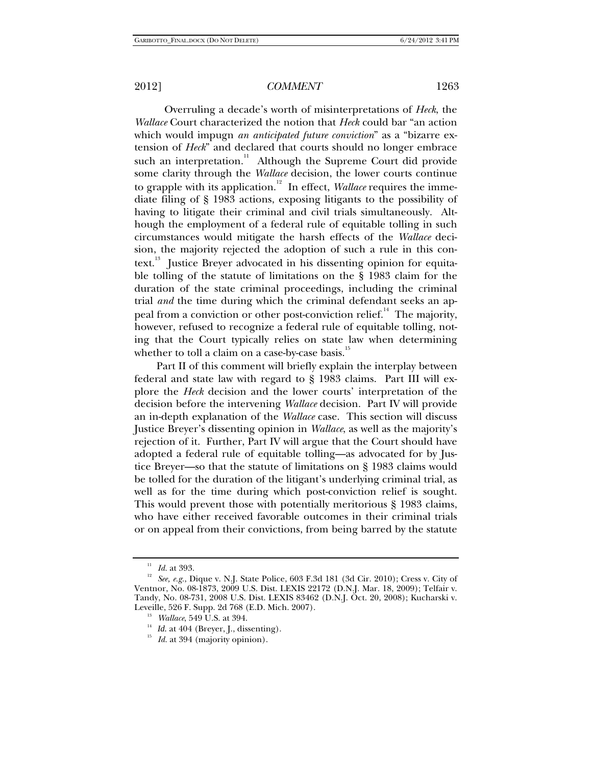Overruling a decade's worth of misinterpretations of *Heck*, the *Wallace* Court characterized the notion that *Heck* could bar "an action which would impugn *an anticipated future conviction*" as a "bizarre extension of *Heck*" and declared that courts should no longer embrace such an interpretation.<sup>11</sup> Although the Supreme Court did provide some clarity through the *Wallace* decision, the lower courts continue to grapple with its application.<sup>12</sup> In effect, *Wallace* requires the immediate filing of § 1983 actions, exposing litigants to the possibility of having to litigate their criminal and civil trials simultaneously. Although the employment of a federal rule of equitable tolling in such circumstances would mitigate the harsh effects of the *Wallace* decision, the majority rejected the adoption of such a rule in this context.<sup>13</sup> Justice Breyer advocated in his dissenting opinion for equitable tolling of the statute of limitations on the § 1983 claim for the duration of the state criminal proceedings, including the criminal trial *and* the time during which the criminal defendant seeks an appeal from a conviction or other post-conviction relief.<sup>14</sup> The majority, however, refused to recognize a federal rule of equitable tolling, noting that the Court typically relies on state law when determining whether to toll a claim on a case-by-case basis. $15$ 

Part II of this comment will briefly explain the interplay between federal and state law with regard to § 1983 claims. Part III will explore the *Heck* decision and the lower courts' interpretation of the decision before the intervening *Wallace* decision. Part IV will provide an in-depth explanation of the *Wallace* case. This section will discuss Justice Breyer's dissenting opinion in *Wallace*, as well as the majority's rejection of it. Further, Part IV will argue that the Court should have adopted a federal rule of equitable tolling—as advocated for by Justice Breyer—so that the statute of limitations on § 1983 claims would be tolled for the duration of the litigant's underlying criminal trial, as well as for the time during which post-conviction relief is sought. This would prevent those with potentially meritorious § 1983 claims, who have either received favorable outcomes in their criminal trials or on appeal from their convictions, from being barred by the statute

<sup>&</sup>lt;sup>11</sup> *Id.* at 393.<br><sup>12</sup> *See, e.g.*, Dique v. N.J. State Police, 603 F.3d 181 (3d Cir. 2010); Cress v. City of Ventnor, No. 08-1873, 2009 U.S. Dist. LEXIS 22172 (D.N.J. Mar. 18, 2009); Telfair v. Tandy, No. 08-731, 2008 U.S. Dist. LEXIS 83462 (D.N.J. Oct. 20, 2008); Kucharski v.

<sup>&</sup>lt;sup>13</sup> Wallace, 549 U.S. at 394.<br><sup>14</sup> Id. at 404 (Breyer, J., dissenting).<br><sup>15</sup> Id. at 394 (majority opinion).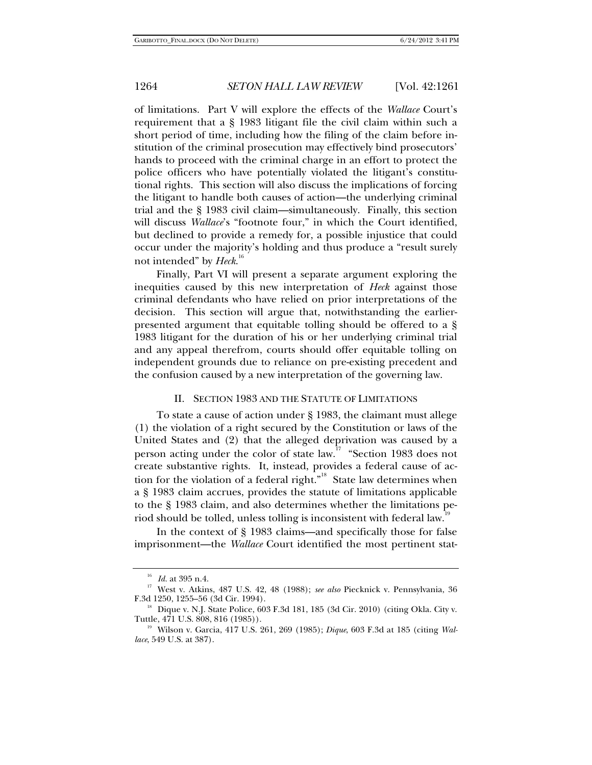of limitations. Part V will explore the effects of the *Wallace* Court's requirement that a § 1983 litigant file the civil claim within such a short period of time, including how the filing of the claim before institution of the criminal prosecution may effectively bind prosecutors' hands to proceed with the criminal charge in an effort to protect the police officers who have potentially violated the litigant's constitutional rights. This section will also discuss the implications of forcing the litigant to handle both causes of action—the underlying criminal trial and the § 1983 civil claim—simultaneously. Finally, this section will discuss *Wallace*'s "footnote four," in which the Court identified, but declined to provide a remedy for, a possible injustice that could occur under the majority's holding and thus produce a "result surely not intended" by *Heck*. 16

Finally, Part VI will present a separate argument exploring the inequities caused by this new interpretation of *Heck* against those criminal defendants who have relied on prior interpretations of the decision. This section will argue that, notwithstanding the earlierpresented argument that equitable tolling should be offered to a § 1983 litigant for the duration of his or her underlying criminal trial and any appeal therefrom, courts should offer equitable tolling on independent grounds due to reliance on pre-existing precedent and the confusion caused by a new interpretation of the governing law.

### II. SECTION 1983 AND THE STATUTE OF LIMITATIONS

To state a cause of action under § 1983, the claimant must allege (1) the violation of a right secured by the Constitution or laws of the United States and (2) that the alleged deprivation was caused by a person acting under the color of state law.<sup>17</sup> "Section 1983 does not create substantive rights. It, instead, provides a federal cause of action for the violation of a federal right."<sup>18</sup> State law determines when a § 1983 claim accrues, provides the statute of limitations applicable to the § 1983 claim, and also determines whether the limitations period should be tolled, unless tolling is inconsistent with federal law.<sup>19</sup>

In the context of § 1983 claims—and specifically those for false imprisonment—the *Wallace* Court identified the most pertinent stat-

<sup>16</sup> *Id.* at 395 n.4. 17 West v. Atkins, 487 U.S. 42, 48 (1988); *see also* Piecknick v. Pennsylvania, 36

 $F^{\text{18}}$  Dique v. N.J. State Police, 603 F.3d 181, 185 (3d Cir. 2010) (citing Okla. City v. Tuttle, 471 U.S. 808, 816 (1985)).

<sup>&</sup>lt;sup>19</sup> Wilson v. Garcia, 417 U.S. 261, 269 (1985); *Dique*, 603 F.3d at 185 (citing *Wallace*, 549 U.S. at 387).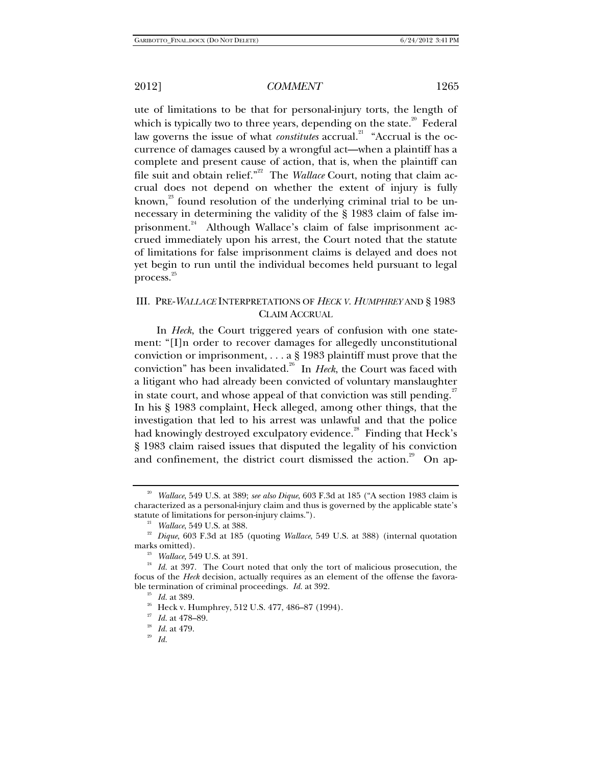ute of limitations to be that for personal-injury torts, the length of which is typically two to three years, depending on the state.<sup>20</sup> Federal law governs the issue of what *constitutes* accrual.<sup>21</sup> "Accrual is the occurrence of damages caused by a wrongful act—when a plaintiff has a complete and present cause of action, that is, when the plaintiff can file suit and obtain relief.<sup>"22</sup> The *Wallace* Court, noting that claim accrual does not depend on whether the extent of injury is fully known, $^{23}$  found resolution of the underlying criminal trial to be unnecessary in determining the validity of the § 1983 claim of false imprisonment.<sup>24</sup> Although Wallace's claim of false imprisonment accrued immediately upon his arrest, the Court noted that the statute of limitations for false imprisonment claims is delayed and does not yet begin to run until the individual becomes held pursuant to legal process.<sup>25</sup>

## III. PRE-*WALLACE* INTERPRETATIONS OF *HECK V. HUMPHREY* AND § 1983 CLAIM ACCRUAL

In *Heck*, the Court triggered years of confusion with one statement: "[I]n order to recover damages for allegedly unconstitutional conviction or imprisonment, . . . a § 1983 plaintiff must prove that the conviction" has been invalidated.<sup>26</sup> In *Heck*, the Court was faced with a litigant who had already been convicted of voluntary manslaughter in state court, and whose appeal of that conviction was still pending.<sup>27</sup> In his § 1983 complaint, Heck alleged, among other things, that the investigation that led to his arrest was unlawful and that the police had knowingly destroyed exculpatory evidence.<sup>28</sup> Finding that Heck's § 1983 claim raised issues that disputed the legality of his conviction and confinement, the district court dismissed the action.<sup>29</sup> On ap-

<sup>20</sup> *Wallace*, 549 U.S. at 389; *see also Dique*, 603 F.3d at 185 ("A section 1983 claim is characterized as a personal-injury claim and thus is governed by the applicable state's statute of limitations for person-injury claims."). 21 *Wallace*, 549 U.S. at 388.

<sup>&</sup>lt;sup>22</sup> Dique, 603 F.3d at 185 (quoting *Wallace*, 549 U.S. at 388) (internal quotation marks omitted).

<sup>&</sup>lt;sup>23</sup> *Wallace*, 549 U.S. at 391. 24 *Id.* at 397. The Court noted that only the tort of malicious prosecution, the focus of the *Heck* decision, actually requires as an element of the offense the favorable termination of criminal proceedings. *Id.* at 392. 25 *Id.* at 389.

 $26$  Heck v. Humphrey, 512 U.S. 477, 486-87 (1994).

<sup>27</sup> *Id.* at 478–89. 28 *Id.* at 479. 29 *Id.*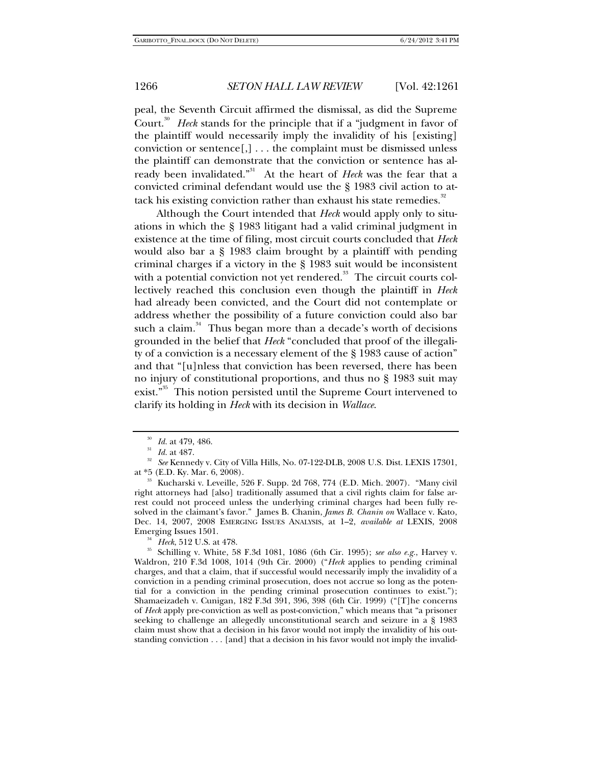peal, the Seventh Circuit affirmed the dismissal, as did the Supreme Court.<sup>30</sup> Heck stands for the principle that if a "judgment in favor of the plaintiff would necessarily imply the invalidity of his [existing] conviction or sentence[,] . . . the complaint must be dismissed unless the plaintiff can demonstrate that the conviction or sentence has already been invalidated.<sup>"31</sup> At the heart of *Heck* was the fear that a convicted criminal defendant would use the § 1983 civil action to attack his existing conviction rather than exhaust his state remedies.<sup>32</sup>

Although the Court intended that *Heck* would apply only to situations in which the § 1983 litigant had a valid criminal judgment in existence at the time of filing, most circuit courts concluded that *Heck* would also bar a § 1983 claim brought by a plaintiff with pending criminal charges if a victory in the § 1983 suit would be inconsistent with a potential conviction not yet rendered.<sup>33</sup> The circuit courts collectively reached this conclusion even though the plaintiff in *Heck* had already been convicted, and the Court did not contemplate or address whether the possibility of a future conviction could also bar such a claim. $34$  Thus began more than a decade's worth of decisions grounded in the belief that *Heck* "concluded that proof of the illegality of a conviction is a necessary element of the § 1983 cause of action" and that "[u]nless that conviction has been reversed, there has been no injury of constitutional proportions, and thus no § 1983 suit may exist."<sup>35</sup> This notion persisted until the Supreme Court intervened to clarify its holding in *Heck* with its decision in *Wallace*.

<sup>&</sup>lt;sup>30</sup> *Id.* at 479, 486.<br><sup>31</sup> *Id.* at 487.

<sup>&</sup>lt;sup>32</sup> See Kennedy v. City of Villa Hills, No. 07-122-DLB, 2008 U.S. Dist. LEXIS 17301, at \*5 (E.D. Ky. Mar. 6, 2008).

<sup>&</sup>lt;sup>33</sup> Kucharski v. Leveille, 526 F. Supp. 2d 768, 774 (E.D. Mich. 2007). "Many civil right attorneys had [also] traditionally assumed that a civil rights claim for false arrest could not proceed unless the underlying criminal charges had been fully resolved in the claimant's favor." James B. Chanin, *James B. Chanin on* Wallace v. Kato, Dec. 14, 2007, 2008 EMERGING ISSUES ANALYSIS, at 1–2, *available at* LEXIS, 2008

<sup>&</sup>lt;sup>34</sup> Heck, 512 U.S. at 478. 35 Schilling v. White, 58 F.3d 1081, 1086 (6th Cir. 1995); *see also e.g.*, Harvey v. Waldron, 210 F.3d 1008, 1014 (9th Cir. 2000) ("*Heck* applies to pending criminal charges, and that a claim, that if successful would necessarily imply the invalidity of a conviction in a pending criminal prosecution, does not accrue so long as the potential for a conviction in the pending criminal prosecution continues to exist."); Shamaeizadeh v. Cunigan, 182 F.3d 391, 396, 398 (6th Cir. 1999) ("[T]he concerns of *Heck* apply pre-conviction as well as post-conviction," which means that "a prisoner seeking to challenge an allegedly unconstitutional search and seizure in a § 1983 claim must show that a decision in his favor would not imply the invalidity of his outstanding conviction . . . [and] that a decision in his favor would not imply the invalid-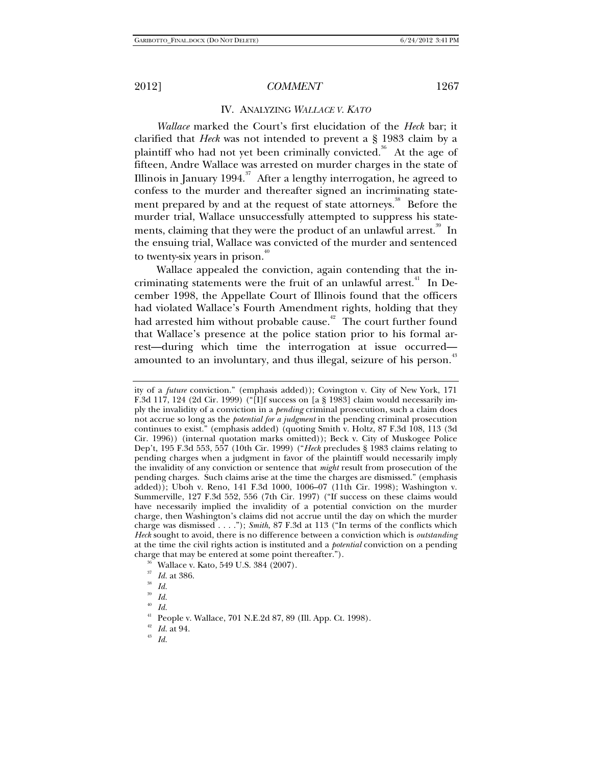### IV. ANALYZING *WALLACE V. KATO*

*Wallace* marked the Court's first elucidation of the *Heck* bar; it clarified that *Heck* was not intended to prevent a § 1983 claim by a plaintiff who had not yet been criminally convicted.<sup>36</sup> At the age of fifteen, Andre Wallace was arrested on murder charges in the state of Illinois in January 1994.<sup>37</sup> After a lengthy interrogation, he agreed to confess to the murder and thereafter signed an incriminating statement prepared by and at the request of state attorneys.<sup>38</sup> Before the murder trial, Wallace unsuccessfully attempted to suppress his statements, claiming that they were the product of an unlawful arrest.<sup>39</sup> In the ensuing trial, Wallace was convicted of the murder and sentenced to twenty-six years in prison.<sup>40</sup>

Wallace appealed the conviction, again contending that the incriminating statements were the fruit of an unlawful arrest.<sup>41</sup> In December 1998, the Appellate Court of Illinois found that the officers had violated Wallace's Fourth Amendment rights, holding that they had arrested him without probable cause.<sup>42</sup> The court further found that Wallace's presence at the police station prior to his formal arrest—during which time the interrogation at issue occurred amounted to an involuntary, and thus illegal, seizure of his person. $^{43}$ 

<sup>37</sup> *Id.* at 386. 38 *Id.*

<sup>40</sup> *Id.*

ity of a *future* conviction." (emphasis added)); Covington v. City of New York, 171 F.3d 117, 124 (2d Cir. 1999) ("[I]f success on [a § 1983] claim would necessarily imply the invalidity of a conviction in a *pending* criminal prosecution, such a claim does not accrue so long as the *potential for a judgment* in the pending criminal prosecution continues to exist." (emphasis added) (quoting Smith v. Holtz, 87 F.3d 108, 113 (3d Cir. 1996)) (internal quotation marks omitted)); Beck v. City of Muskogee Police Dep't, 195 F.3d 553, 557 (10th Cir. 1999) ("*Heck* precludes § 1983 claims relating to pending charges when a judgment in favor of the plaintiff would necessarily imply the invalidity of any conviction or sentence that *might* result from prosecution of the pending charges. Such claims arise at the time the charges are dismissed." (emphasis added)); Uboh v. Reno, 141 F.3d 1000, 1006–07 (11th Cir. 1998); Washington v. Summerville, 127 F.3d 552, 556 (7th Cir. 1997) ("If success on these claims would have necessarily implied the invalidity of a potential conviction on the murder charge, then Washington's claims did not accrue until the day on which the murder charge was dismissed . . . ."); *Smith*, 87 F.3d at 113 ("In terms of the conflicts which *Heck* sought to avoid, there is no difference between a conviction which is *outstanding* at the time the civil rights action is instituted and a *potential* conviction on a pending charge that may be entered at some point thereafter."). 36 Wallace v. Kato, 549 U.S. 384 (2007).

<sup>39</sup> *Id.*

People v. Wallace, 701 N.E.2d 87, 89 (Ill. App. Ct. 1998).

<sup>42</sup> *Id.* at 94. 43 *Id.*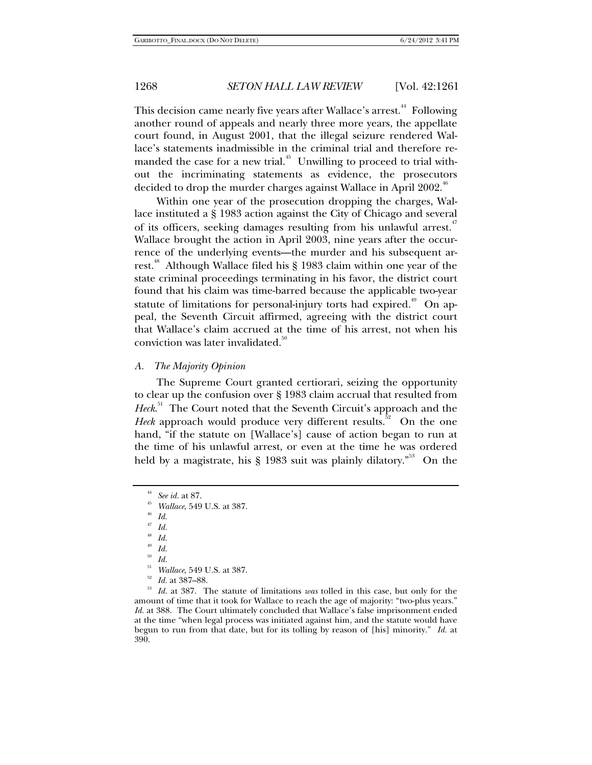This decision came nearly five years after Wallace's arrest.<sup>44</sup> Following another round of appeals and nearly three more years, the appellate court found, in August 2001, that the illegal seizure rendered Wallace's statements inadmissible in the criminal trial and therefore remanded the case for a new trial. $45$  Unwilling to proceed to trial without the incriminating statements as evidence, the prosecutors decided to drop the murder charges against Wallace in April 2002.<sup>46</sup>

Within one year of the prosecution dropping the charges, Wallace instituted a § 1983 action against the City of Chicago and several of its officers, seeking damages resulting from his unlawful arrest.<sup>47</sup> Wallace brought the action in April 2003, nine years after the occurrence of the underlying events—the murder and his subsequent arrest.<sup>48</sup> Although Wallace filed his § 1983 claim within one year of the state criminal proceedings terminating in his favor, the district court found that his claim was time-barred because the applicable two-year statute of limitations for personal-injury torts had expired.<sup> $49$ </sup> On appeal, the Seventh Circuit affirmed, agreeing with the district court that Wallace's claim accrued at the time of his arrest, not when his conviction was later invalidated.<sup>50</sup>

### *A. The Majority Opinion*

The Supreme Court granted certiorari, seizing the opportunity to clear up the confusion over § 1983 claim accrual that resulted from Heck.<sup>51</sup> The Court noted that the Seventh Circuit's approach and the *Heck* approach would produce very different results.<sup>52</sup> On the one hand, "if the statute on [Wallace's] cause of action began to run at the time of his unlawful arrest, or even at the time he was ordered held by a magistrate, his  $\S$  1983 suit was plainly dilatory.<sup>353</sup> On the

<sup>48</sup> *Id.*

<sup>51</sup> *Wallace*, 549 U.S. at 387.<br><sup>52</sup> *Id.* at 387–88.<br><sup>53</sup> *Id.* at 387. The statute of limitations *was* tolled in this case, but only for the amount of time that it took for Wallace to reach the age of majority: "two-plus years." *Id.* at 388. The Court ultimately concluded that Wallace's false imprisonment ended at the time "when legal process was initiated against him, and the statute would have begun to run from that date, but for its tolling by reason of [his] minority." *Id.* at 390.

<sup>44</sup> *See id.* at 87. 45 *Wallace*, 549 U.S. at 387. 46 *Id.*

<sup>47</sup> *Id.*

 $\begin{array}{cc} \n^{49} & \n \frac{1}{60} & \n \frac{1}{60} & \n \frac{1}{100} & \n \end{array}$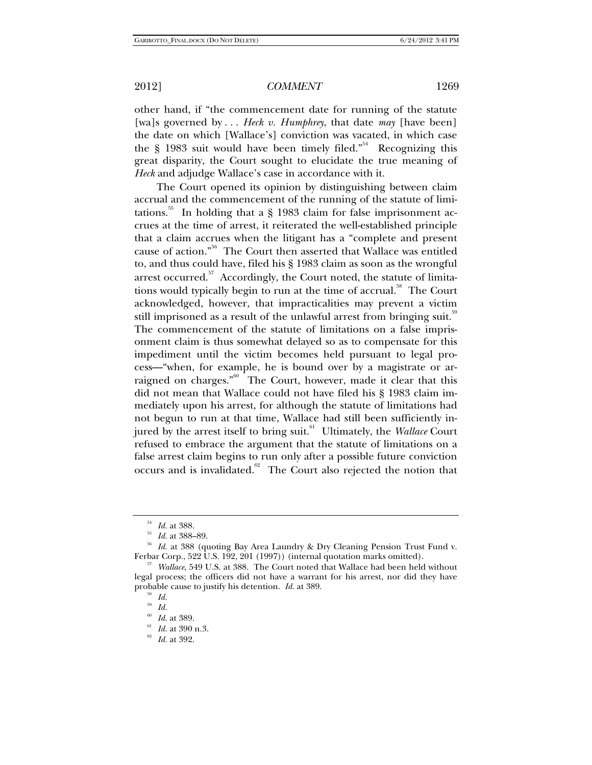other hand, if "the commencement date for running of the statute [wa]s governed by . . . *Heck v. Humphrey*, that date *may* [have been] the date on which [Wallace's] conviction was vacated, in which case the  $\S$  1983 suit would have been timely filed.<sup> $54$ </sup> Recognizing this great disparity, the Court sought to elucidate the true meaning of *Heck* and adjudge Wallace's case in accordance with it.

The Court opened its opinion by distinguishing between claim accrual and the commencement of the running of the statute of limitations.<sup>55</sup> In holding that a  $\S$  1983 claim for false imprisonment accrues at the time of arrest, it reiterated the well-established principle that a claim accrues when the litigant has a "complete and present cause of action."56 The Court then asserted that Wallace was entitled to, and thus could have, filed his § 1983 claim as soon as the wrongful arrest occurred. $57$  Accordingly, the Court noted, the statute of limitations would typically begin to run at the time of accrual.<sup>58</sup> The Court acknowledged, however, that impracticalities may prevent a victim still imprisoned as a result of the unlawful arrest from bringing suit.<sup>39</sup> The commencement of the statute of limitations on a false imprisonment claim is thus somewhat delayed so as to compensate for this impediment until the victim becomes held pursuant to legal process—"when, for example, he is bound over by a magistrate or arraigned on charges." $60$  The Court, however, made it clear that this did not mean that Wallace could not have filed his § 1983 claim immediately upon his arrest, for although the statute of limitations had not begun to run at that time, Wallace had still been sufficiently injured by the arrest itself to bring suit.<sup>61</sup> Ultimately, the *Wallace* Court refused to embrace the argument that the statute of limitations on a false arrest claim begins to run only after a possible future conviction occurs and is invalidated. $62$  The Court also rejected the notion that

<sup>&</sup>lt;sup>54</sup> *Id.* at 388.<br><sup>55</sup> *Id.* at 388–89.<br><sup>56</sup> *Id.* at 388 (quoting Bay Area Laundry & Dry Cleaning Pension Trust Fund v.<br>Ferbar Corp., 522 U.S. 192, 201 (1997)) (internal quotation marks omitted).

<sup>&</sup>lt;sup>57</sup> Wallace, 549 U.S. at 388. The Court noted that Wallace had been held without legal process; the officers did not have a warrant for his arrest, nor did they have probable cause to justify his detention. *Id.* at 389.<br><sup>59</sup> *Id.* 

<sup>59</sup> *Id.* 60 *Id.* at 389. 61 *Id.* at 390 n.3. 62 *Id.* at 392.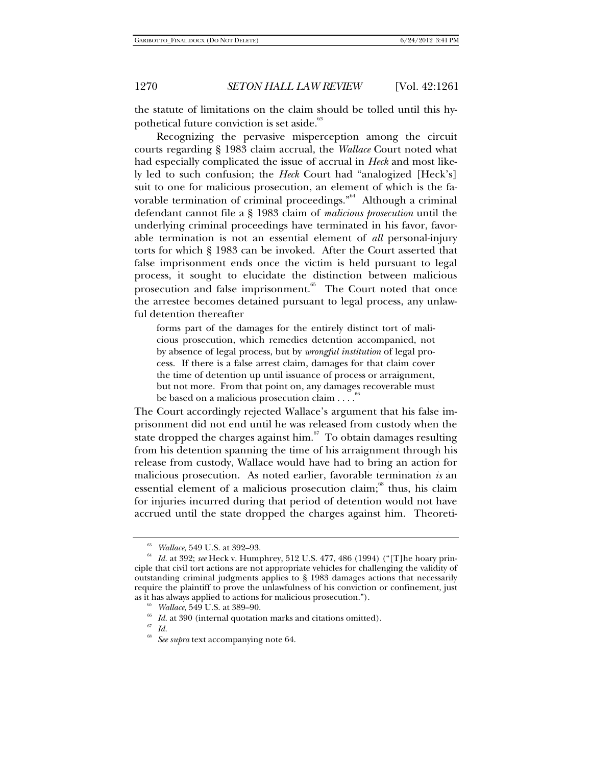the statute of limitations on the claim should be tolled until this hypothetical future conviction is set aside.<sup>63</sup>

Recognizing the pervasive misperception among the circuit courts regarding § 1983 claim accrual, the *Wallace* Court noted what had especially complicated the issue of accrual in *Heck* and most likely led to such confusion; the *Heck* Court had "analogized [Heck's] suit to one for malicious prosecution, an element of which is the favorable termination of criminal proceedings." $64$  Although a criminal defendant cannot file a § 1983 claim of *malicious prosecution* until the underlying criminal proceedings have terminated in his favor, favorable termination is not an essential element of *all* personal-injury torts for which § 1983 can be invoked. After the Court asserted that false imprisonment ends once the victim is held pursuant to legal process, it sought to elucidate the distinction between malicious prosecution and false imprisonment.<sup>65</sup> The Court noted that once the arrestee becomes detained pursuant to legal process, any unlawful detention thereafter

forms part of the damages for the entirely distinct tort of malicious prosecution, which remedies detention accompanied, not by absence of legal process, but by *wrongful institution* of legal process. If there is a false arrest claim, damages for that claim cover the time of detention up until issuance of process or arraignment, but not more. From that point on, any damages recoverable must be based on a malicious prosecution claim . . . .

The Court accordingly rejected Wallace's argument that his false imprisonment did not end until he was released from custody when the state dropped the charges against him. $67$  To obtain damages resulting from his detention spanning the time of his arraignment through his release from custody, Wallace would have had to bring an action for malicious prosecution. As noted earlier, favorable termination *is* an essential element of a malicious prosecution claim;<sup>68</sup> thus, his claim for injuries incurred during that period of detention would not have accrued until the state dropped the charges against him. Theoreti-

<sup>&</sup>lt;sup>63</sup> *Wallace*, 549 U.S. at 392–93.<br><sup>64</sup> Id. at 392; *see* Heck v. Humphrey, 512 U.S. 477, 486 (1994) ("[T]he hoary principle that civil tort actions are not appropriate vehicles for challenging the validity of outstanding criminal judgments applies to § 1983 damages actions that necessarily require the plaintiff to prove the unlawfulness of his conviction or confinement, just as it has always applied to actions for malicious prosecution.").

<sup>&</sup>lt;sup>65</sup> Wallace, 549 U.S. at 389–90.<br><sup>66</sup> Id. at 390 (internal quotation marks and citations omitted).<br><sup>67</sup> Id.

See supra text accompanying note 64.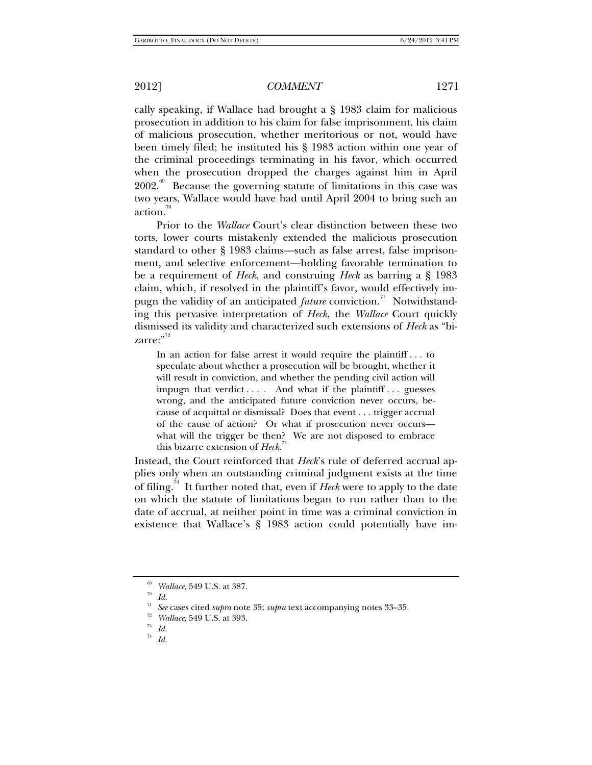cally speaking, if Wallace had brought a § 1983 claim for malicious prosecution in addition to his claim for false imprisonment, his claim of malicious prosecution, whether meritorious or not, would have been timely filed; he instituted his § 1983 action within one year of the criminal proceedings terminating in his favor, which occurred when the prosecution dropped the charges against him in April  $2002<sup>69</sup>$  Because the governing statute of limitations in this case was two years, Wallace would have had until April 2004 to bring such an action. $\frac{70}{10}$ 

Prior to the *Wallace* Court's clear distinction between these two torts, lower courts mistakenly extended the malicious prosecution standard to other § 1983 claims—such as false arrest, false imprisonment, and selective enforcement—holding favorable termination to be a requirement of *Heck*, and construing *Heck* as barring a § 1983 claim, which, if resolved in the plaintiff's favor, would effectively impugn the validity of an anticipated *future* conviction.<sup>71</sup> Notwithstanding this pervasive interpretation of *Heck*, the *Wallace* Court quickly dismissed its validity and characterized such extensions of *Heck* as "bi $zarre:$ "<sup>72</sup>

In an action for false arrest it would require the plaintiff . . . to speculate about whether a prosecution will be brought, whether it will result in conviction, and whether the pending civil action will impugn that verdict  $\dots$ . And what if the plaintiff  $\dots$  guesses wrong, and the anticipated future conviction never occurs, because of acquittal or dismissal? Does that event . . . trigger accrual of the cause of action? Or what if prosecution never occurs what will the trigger be then? We are not disposed to embrace this bizarre extension of *Heck*.<sup>73</sup>

Instead, the Court reinforced that *Heck*'s rule of deferred accrual applies only when an outstanding criminal judgment exists at the time of filing.74 It further noted that, even if *Heck* were to apply to the date on which the statute of limitations began to run rather than to the date of accrual, at neither point in time was a criminal conviction in existence that Wallace's § 1983 action could potentially have im-

<sup>&</sup>lt;sup>69</sup> *Wallace*, 549 U.S. at 387.<br><sup>70</sup> *Id.*<br><sup>71</sup> S

<sup>71</sup> *See* cases cited *supra* note 35; *supra* text accompanying notes 33–35. 72 *Wallace*, 549 U.S. at 393. 73 *Id.*

<sup>74</sup> *Id.*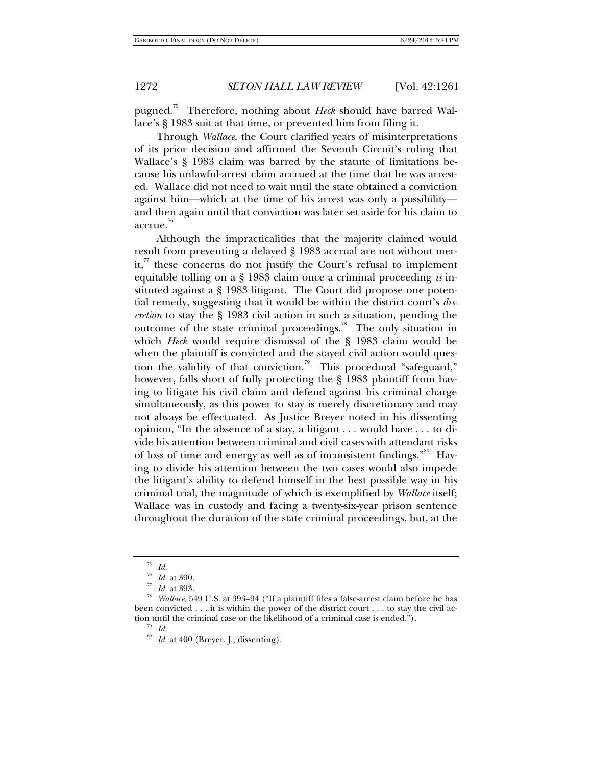pugned.75 Therefore, nothing about *Heck* should have barred Wallace's § 1983 suit at that time, or prevented him from filing it.

Through *Wallace*, the Court clarified years of misinterpretations of its prior decision and affirmed the Seventh Circuit's ruling that Wallace's § 1983 claim was barred by the statute of limitations because his unlawful-arrest claim accrued at the time that he was arrested. Wallace did not need to wait until the state obtained a conviction against him—which at the time of his arrest was only a possibility and then again until that conviction was later set aside for his claim to accrue.<sup>76</sup>

Although the impracticalities that the majority claimed would result from preventing a delayed § 1983 accrual are not without merit," these concerns do not justify the Court's refusal to implement equitable tolling on a § 1983 claim once a criminal proceeding *is* instituted against a § 1983 litigant. The Court did propose one potential remedy, suggesting that it would be within the district court's *discretion* to stay the § 1983 civil action in such a situation, pending the outcome of the state criminal proceedings.<sup>78</sup> The only situation in which *Heck* would require dismissal of the § 1983 claim would be when the plaintiff is convicted and the stayed civil action would question the validity of that conviction.<sup>79</sup> This procedural "safeguard," however, falls short of fully protecting the § 1983 plaintiff from having to litigate his civil claim and defend against his criminal charge simultaneously, as this power to stay is merely discretionary and may not always be effectuated. As Justice Breyer noted in his dissenting opinion, "In the absence of a stay, a litigant . . . would have . . . to divide his attention between criminal and civil cases with attendant risks of loss of time and energy as well as of inconsistent findings."<sup>80</sup> Having to divide his attention between the two cases would also impede the litigant's ability to defend himself in the best possible way in his criminal trial, the magnitude of which is exemplified by *Wallace* itself; Wallace was in custody and facing a twenty-six-year prison sentence throughout the duration of the state criminal proceedings, but, at the

<sup>75</sup> *Id.*

<sup>76</sup> *Id.* at 390. 77 *Id.* at 393. 78 *Wallace*, 549 U.S. at 393–94 ("If a plaintiff files a false-arrest claim before he has been convicted . . . it is within the power of the district court . . . to stay the civil action until the criminal case or the likelihood of a criminal case is ended.").<br><sup>79</sup> *Id.* 

<sup>&</sup>lt;sup>80</sup> Id. at 400 (Breyer, J., dissenting).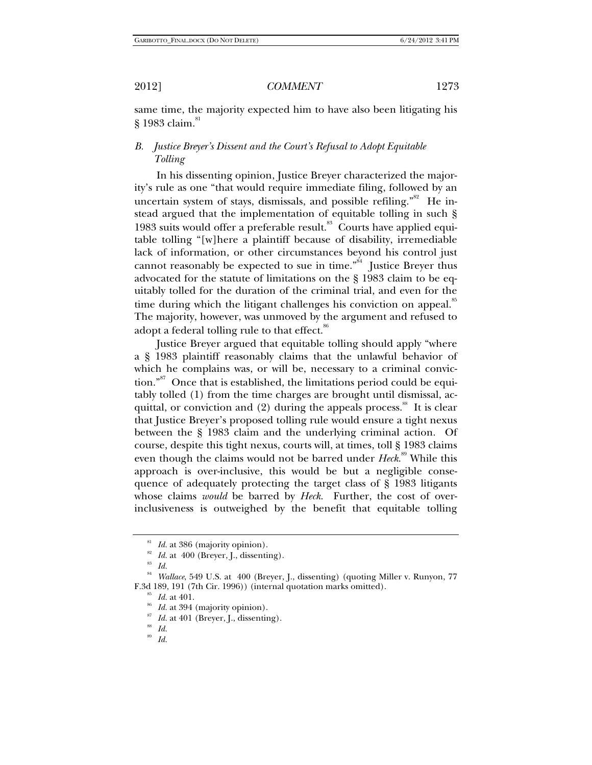same time, the majority expected him to have also been litigating his  $$1983$  claim.<sup>81</sup>

## *B. Justice Breyer's Dissent and the Court's Refusal to Adopt Equitable Tolling*

In his dissenting opinion, Justice Breyer characterized the majority's rule as one "that would require immediate filing, followed by an uncertain system of stays, dismissals, and possible refiling."<sup>82</sup> He instead argued that the implementation of equitable tolling in such § 1983 suits would offer a preferable result.<sup>83</sup> Courts have applied equitable tolling "[w]here a plaintiff because of disability, irremediable lack of information, or other circumstances beyond his control just cannot reasonably be expected to sue in time."<sup>84</sup> Justice Breyer thus advocated for the statute of limitations on the § 1983 claim to be equitably tolled for the duration of the criminal trial, and even for the time during which the litigant challenges his conviction on appeal.<sup>85</sup> The majority, however, was unmoved by the argument and refused to adopt a federal tolling rule to that effect.<sup>86</sup>

Justice Breyer argued that equitable tolling should apply "where a § 1983 plaintiff reasonably claims that the unlawful behavior of which he complains was, or will be, necessary to a criminal conviction."<sup>87</sup> Once that is established, the limitations period could be equitably tolled (1) from the time charges are brought until dismissal, acquittal, or conviction and  $(2)$  during the appeals process.<sup>88</sup> It is clear that Justice Breyer's proposed tolling rule would ensure a tight nexus between the § 1983 claim and the underlying criminal action. Of course, despite this tight nexus, courts will, at times, toll § 1983 claims even though the claims would not be barred under *Heck*.<sup>89</sup> While this approach is over-inclusive, this would be but a negligible consequence of adequately protecting the target class of § 1983 litigants whose claims *would* be barred by *Heck.* Further, the cost of overinclusiveness is outweighed by the benefit that equitable tolling

<sup>&</sup>lt;sup>81</sup> *Id.* at 386 (majority opinion).<br><sup>82</sup> *Id.* at 400 (Breyer, J., dissenting).<br><sup>83</sup> *Id* 

<sup>84</sup> *Wallace*, 549 U.S. at 400 (Breyer, J., dissenting) (quoting Miller v. Runyon, 77 F.3d 189, 191 (7th Cir. 1996)) (internal quotation marks omitted).<br><sup>85</sup> *Id.* at 401.<br><sup>86</sup> *Id.* at 394 (majority opinion).<br><sup>87</sup> *Id.* at 401 (Breyer, J., dissenting).<br><sup>88</sup> *Id.* 

<sup>89</sup> *Id.*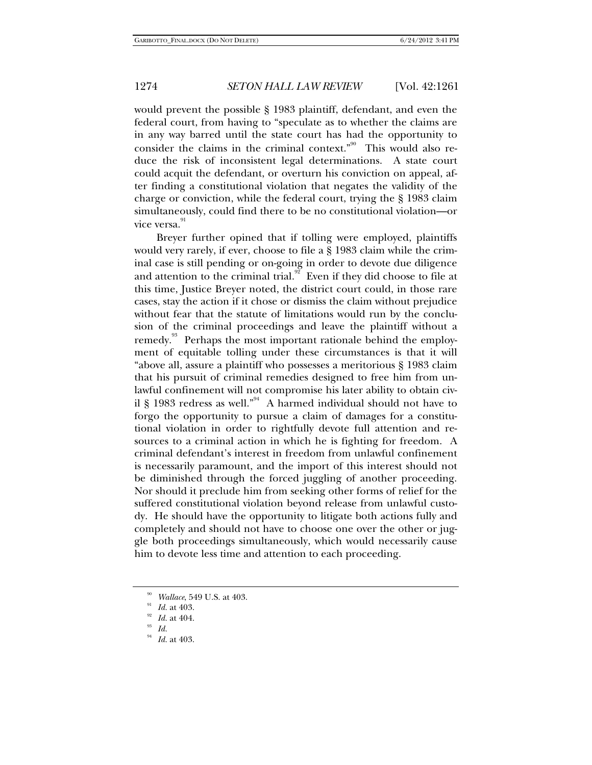would prevent the possible § 1983 plaintiff, defendant, and even the federal court, from having to "speculate as to whether the claims are in any way barred until the state court has had the opportunity to consider the claims in the criminal context." $90$  This would also reduce the risk of inconsistent legal determinations. A state court could acquit the defendant, or overturn his conviction on appeal, after finding a constitutional violation that negates the validity of the charge or conviction, while the federal court, trying the § 1983 claim simultaneously, could find there to be no constitutional violation—or vice versa.<sup>91</sup>

Breyer further opined that if tolling were employed, plaintiffs would very rarely, if ever, choose to file a § 1983 claim while the criminal case is still pending or on-going in order to devote due diligence and attention to the criminal trial.<sup>92</sup> Even if they did choose to file at this time, Justice Breyer noted, the district court could, in those rare cases, stay the action if it chose or dismiss the claim without prejudice without fear that the statute of limitations would run by the conclusion of the criminal proceedings and leave the plaintiff without a remedy.<sup>93</sup> Perhaps the most important rationale behind the employment of equitable tolling under these circumstances is that it will "above all, assure a plaintiff who possesses a meritorious § 1983 claim that his pursuit of criminal remedies designed to free him from unlawful confinement will not compromise his later ability to obtain civil § 1983 redress as well."<sup>94</sup> A harmed individual should not have to forgo the opportunity to pursue a claim of damages for a constitutional violation in order to rightfully devote full attention and resources to a criminal action in which he is fighting for freedom. A criminal defendant's interest in freedom from unlawful confinement is necessarily paramount, and the import of this interest should not be diminished through the forced juggling of another proceeding. Nor should it preclude him from seeking other forms of relief for the suffered constitutional violation beyond release from unlawful custody. He should have the opportunity to litigate both actions fully and completely and should not have to choose one over the other or juggle both proceedings simultaneously, which would necessarily cause him to devote less time and attention to each proceeding.

<sup>90</sup> *Wallace*, 549 U.S. at 403. 91 *Id.* at 403. 92 *Id.* at 404. 93 *Id.* 94 *Id.* at 403.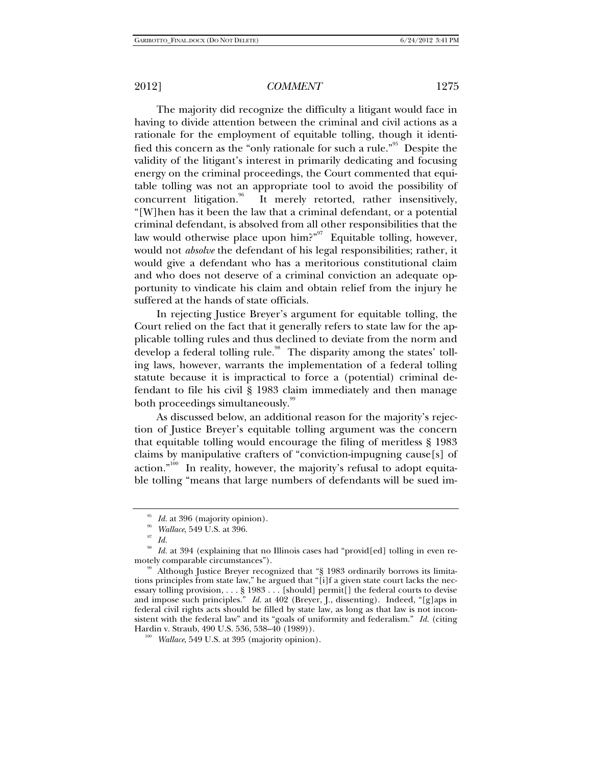The majority did recognize the difficulty a litigant would face in having to divide attention between the criminal and civil actions as a rationale for the employment of equitable tolling, though it identified this concern as the "only rationale for such a rule."<sup>95</sup> Despite the validity of the litigant's interest in primarily dedicating and focusing energy on the criminal proceedings, the Court commented that equitable tolling was not an appropriate tool to avoid the possibility of concurrent litigation.<sup>96</sup> It merely retorted, rather insensitively, "[W]hen has it been the law that a criminal defendant, or a potential criminal defendant, is absolved from all other responsibilities that the law would otherwise place upon him?"<sup>97</sup> Equitable tolling, however, would not *absolve* the defendant of his legal responsibilities; rather, it would give a defendant who has a meritorious constitutional claim and who does not deserve of a criminal conviction an adequate opportunity to vindicate his claim and obtain relief from the injury he suffered at the hands of state officials.

In rejecting Justice Breyer's argument for equitable tolling, the Court relied on the fact that it generally refers to state law for the applicable tolling rules and thus declined to deviate from the norm and develop a federal tolling rule.<sup>98</sup> The disparity among the states' tolling laws, however, warrants the implementation of a federal tolling statute because it is impractical to force a (potential) criminal defendant to file his civil § 1983 claim immediately and then manage both proceedings simultaneously.<sup>99</sup>

As discussed below, an additional reason for the majority's rejection of Justice Breyer's equitable tolling argument was the concern that equitable tolling would encourage the filing of meritless § 1983 claims by manipulative crafters of "conviction-impugning cause[s] of action."<sup>100</sup> In reality, however, the majority's refusal to adopt equitable tolling "means that large numbers of defendants will be sued im-

<sup>95</sup> *Id.* at 396 (majority opinion). 96 *Wallace*, 549 U.S. at 396. 97 *Id.*

*Id.* at 394 (explaining that no Illinois cases had "provid[ed] tolling in even remotely comparable circumstances").<br><sup>99</sup> Although Justice Breyer recognized that "§ 1983 ordinarily borrows its limita-

tions principles from state law," he argued that "[i]f a given state court lacks the necessary tolling provision, . . . § 1983 . . . [should] permit[] the federal courts to devise and impose such principles." *Id.* at 402 (Breyer, J., dissenting). Indeed, "[g]aps in federal civil rights acts should be filled by state law, as long as that law is not inconsistent with the federal law" and its "goals of uniformity and federalism." *Id.* (citing Hardin v. Straub, 490 U.S. 536, 538–40 (1989)). 100 *Wallace*, 549 U.S. at 395 (majority opinion).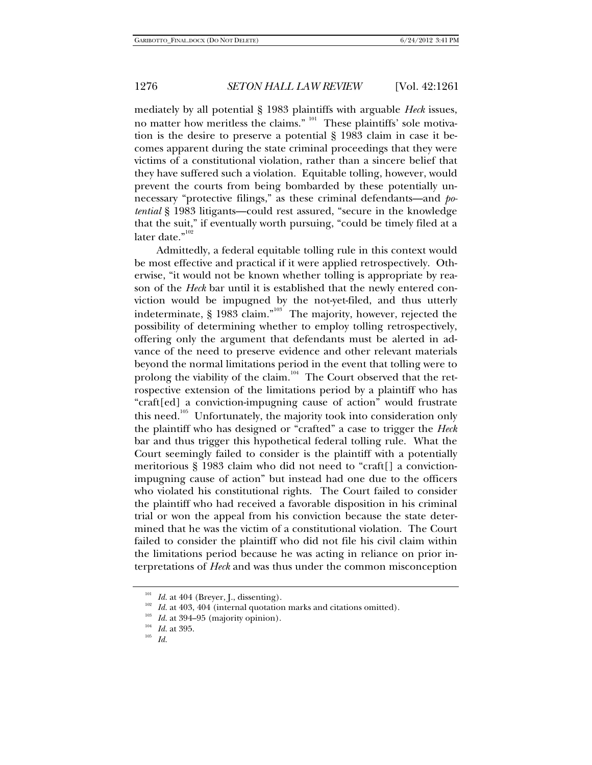mediately by all potential § 1983 plaintiffs with arguable *Heck* issues, no matter how meritless the claims." <sup>101</sup> These plaintiffs' sole motivation is the desire to preserve a potential § 1983 claim in case it becomes apparent during the state criminal proceedings that they were victims of a constitutional violation, rather than a sincere belief that they have suffered such a violation. Equitable tolling, however, would prevent the courts from being bombarded by these potentially unnecessary "protective filings," as these criminal defendants—and *potential* § 1983 litigants—could rest assured, "secure in the knowledge that the suit," if eventually worth pursuing, "could be timely filed at a later date."<sup>102</sup>

Admittedly, a federal equitable tolling rule in this context would be most effective and practical if it were applied retrospectively. Otherwise, "it would not be known whether tolling is appropriate by reason of the *Heck* bar until it is established that the newly entered conviction would be impugned by the not-yet-filed, and thus utterly indeterminate,  $\S$  1983 claim."<sup>103</sup> The majority, however, rejected the possibility of determining whether to employ tolling retrospectively, offering only the argument that defendants must be alerted in advance of the need to preserve evidence and other relevant materials beyond the normal limitations period in the event that tolling were to prolong the viability of the claim.<sup>104</sup> The Court observed that the retrospective extension of the limitations period by a plaintiff who has "craft[ed] a conviction-impugning cause of action" would frustrate this need.<sup>105</sup> Unfortunately, the majority took into consideration only the plaintiff who has designed or "crafted" a case to trigger the *Heck* bar and thus trigger this hypothetical federal tolling rule. What the Court seemingly failed to consider is the plaintiff with a potentially meritorious § 1983 claim who did not need to "craft[] a convictionimpugning cause of action" but instead had one due to the officers who violated his constitutional rights. The Court failed to consider the plaintiff who had received a favorable disposition in his criminal trial or won the appeal from his conviction because the state determined that he was the victim of a constitutional violation. The Court failed to consider the plaintiff who did not file his civil claim within the limitations period because he was acting in reliance on prior interpretations of *Heck* and was thus under the common misconception

<sup>&</sup>lt;sup>101</sup> *Id.* at 404 (Breyer, J., dissenting).<br><sup>102</sup> *Id.* at 403, 404 (internal quotation marks and citations omitted).<br><sup>103</sup> *Id.* at 394–95 (majority opinion).<br><sup>105</sup> *Id.* 105<br>*Id.*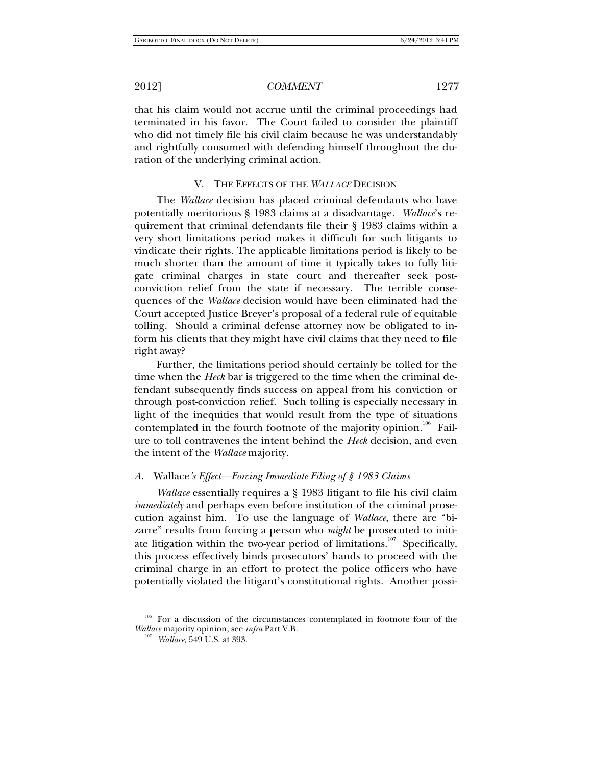that his claim would not accrue until the criminal proceedings had terminated in his favor. The Court failed to consider the plaintiff who did not timely file his civil claim because he was understandably and rightfully consumed with defending himself throughout the duration of the underlying criminal action.

### V. THE EFFECTS OF THE *WALLACE* DECISION

The *Wallace* decision has placed criminal defendants who have potentially meritorious § 1983 claims at a disadvantage. *Wallace*'s requirement that criminal defendants file their § 1983 claims within a very short limitations period makes it difficult for such litigants to vindicate their rights. The applicable limitations period is likely to be much shorter than the amount of time it typically takes to fully litigate criminal charges in state court and thereafter seek postconviction relief from the state if necessary. The terrible consequences of the *Wallace* decision would have been eliminated had the Court accepted Justice Breyer's proposal of a federal rule of equitable tolling. Should a criminal defense attorney now be obligated to inform his clients that they might have civil claims that they need to file right away?

Further, the limitations period should certainly be tolled for the time when the *Heck* bar is triggered to the time when the criminal defendant subsequently finds success on appeal from his conviction or through post-conviction relief. Such tolling is especially necessary in light of the inequities that would result from the type of situations contemplated in the fourth footnote of the majority opinion.<sup>106</sup> Failure to toll contravenes the intent behind the *Heck* decision, and even the intent of the *Wallace* majority.

### *A.* Wallace*'s Effect—Forcing Immediate Filing of § 1983 Claims*

*Wallace* essentially requires a § 1983 litigant to file his civil claim *immediately* and perhaps even before institution of the criminal prosecution against him. To use the language of *Wallace*, there are "bizarre" results from forcing a person who *might* be prosecuted to initiate litigation within the two-year period of limitations.<sup>107</sup> Specifically, this process effectively binds prosecutors' hands to proceed with the criminal charge in an effort to protect the police officers who have potentially violated the litigant's constitutional rights. Another possi-

<sup>&</sup>lt;sup>106</sup> For a discussion of the circumstances contemplated in footnote four of the *Wallace* majority opinion, see *infra* Part V.B. 107 *Wallace*, 549 U.S. at 393.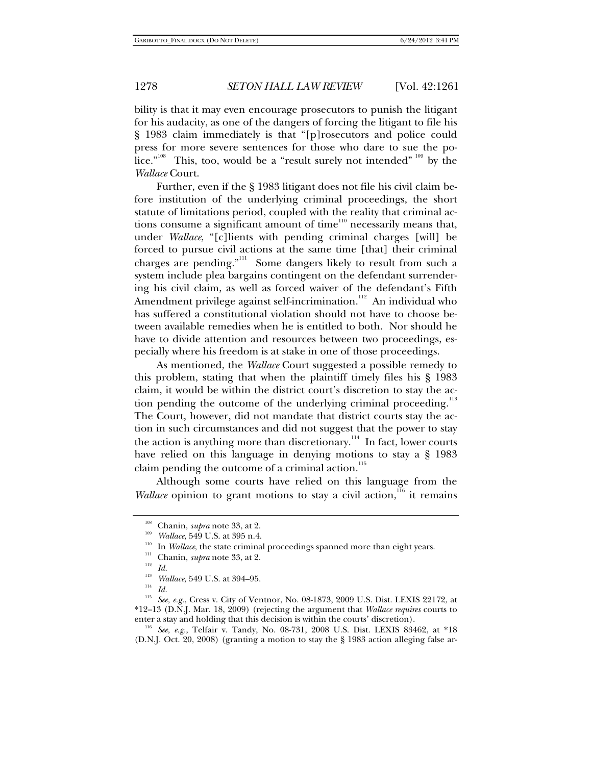bility is that it may even encourage prosecutors to punish the litigant for his audacity, as one of the dangers of forcing the litigant to file his § 1983 claim immediately is that "[p]rosecutors and police could press for more severe sentences for those who dare to sue the police."<sup>108</sup> This, too, would be a "result surely not intended" <sup>109</sup> by the *Wallace* Court.

Further, even if the § 1983 litigant does not file his civil claim before institution of the underlying criminal proceedings, the short statute of limitations period, coupled with the reality that criminal actions consume a significant amount of time $110$  necessarily means that, under *Wallace*, "[c]lients with pending criminal charges [will] be forced to pursue civil actions at the same time [that] their criminal charges are pending."<sup>111</sup> Some dangers likely to result from such a system include plea bargains contingent on the defendant surrendering his civil claim, as well as forced waiver of the defendant's Fifth Amendment privilege against self-incrimination.<sup>112</sup> An individual who has suffered a constitutional violation should not have to choose between available remedies when he is entitled to both. Nor should he have to divide attention and resources between two proceedings, especially where his freedom is at stake in one of those proceedings.

As mentioned, the *Wallace* Court suggested a possible remedy to this problem, stating that when the plaintiff timely files his § 1983 claim, it would be within the district court's discretion to stay the action pending the outcome of the underlying criminal proceeding.<sup>113</sup> The Court, however, did not mandate that district courts stay the action in such circumstances and did not suggest that the power to stay the action is anything more than discretionary.<sup>114</sup> In fact, lower courts have relied on this language in denying motions to stay a § 1983 claim pending the outcome of a criminal action. $^{115}$ 

Although some courts have relied on this language from the *Wallace* opinion to grant motions to stay a civil action,<sup>116</sup> it remains

enter a stay and holding that this decision is within the courts' discretion).<br><sup>116</sup> *See, e.g.*, Telfair v. Tandy, No. 08-731, 2008 U.S. Dist. LEXIS 83462, at \*18 (D.N.J. Oct. 20, 2008) (granting a motion to stay the § 1983 action alleging false ar-

<sup>&</sup>lt;sup>108</sup> Chanin, *supra* note 33, at 2.<br><sup>109</sup> Wallace, 549 U.S. at 395 n.4.<br><sup>110</sup> In *Wallace*, the state criminal proceedings spanned more than eight years.

<sup>&</sup>lt;sup>111</sup> Chanin, *supra* note 33, at 2.<br><sup>112</sup> *Id.*<br><sup>113</sup> *Wallace*, 540 JJ S, at 304, 05

<sup>&</sup>lt;sup>113</sup> *Wallace*, 549 U.S. at 394–95.<br>
<sup>114</sup> *Id.*<br>
<sup>115</sup> Sec. 2.5. Cross v. City of Vor

See, e.g., Cress v. City of Ventnor, No. 08-1873, 2009 U.S. Dist. LEXIS 22172, at \*12–13 (D.N.J. Mar. 18, 2009) (rejecting the argument that *Wallace requires* courts to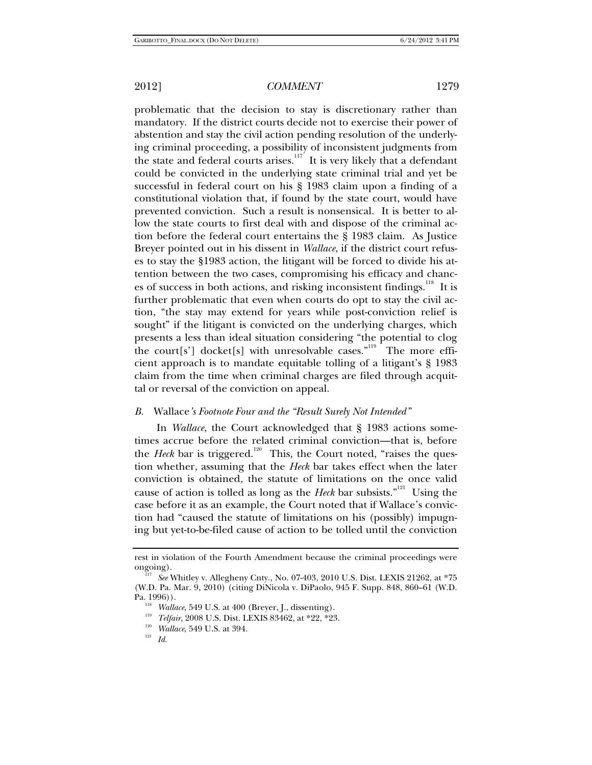problematic that the decision to stay is discretionary rather than mandatory. If the district courts decide not to exercise their power of abstention and stay the civil action pending resolution of the underlying criminal proceeding, a possibility of inconsistent judgments from the state and federal courts arises.<sup>117</sup> It is very likely that a defendant could be convicted in the underlying state criminal trial and yet be successful in federal court on his § 1983 claim upon a finding of a constitutional violation that, if found by the state court, would have prevented conviction. Such a result is nonsensical. It is better to allow the state courts to first deal with and dispose of the criminal action before the federal court entertains the § 1983 claim. As Justice Breyer pointed out in his dissent in *Wallace*, if the district court refuses to stay the §1983 action, the litigant will be forced to divide his attention between the two cases, compromising his efficacy and chances of success in both actions, and risking inconsistent findings.<sup>118</sup> It is further problematic that even when courts do opt to stay the civil action, "the stay may extend for years while post-conviction relief is sought" if the litigant is convicted on the underlying charges, which presents a less than ideal situation considering "the potential to clog the court[s'] docket[s] with unresolvable cases."<sup>119</sup> The more efficient approach is to mandate equitable tolling of a litigant's § 1983 claim from the time when criminal charges are filed through acquittal or reversal of the conviction on appeal.

### *B.* Wallace*'s Footnote Four and the "Result Surely Not Intended"*

In *Wallace*, the Court acknowledged that § 1983 actions sometimes accrue before the related criminal conviction—that is, before the *Heck* bar is triggered.<sup>120</sup> This, the Court noted, "raises the question whether, assuming that the *Heck* bar takes effect when the later conviction is obtained, the statute of limitations on the once valid cause of action is tolled as long as the *Heck* bar subsists."<sup>121</sup> Using the case before it as an example, the Court noted that if Wallace's conviction had "caused the statute of limitations on his (possibly) impugning but yet-to-be-filed cause of action to be tolled until the conviction

rest in violation of the Fourth Amendment because the criminal proceedings were ongoing). 117 *See* Whitley v. Allegheny Cnty., No. 07-403, 2010 U.S. Dist. LEXIS 21262, at \*75

<sup>(</sup>W.D. Pa. Mar. 9, 2010) (citing DiNicola v. DiPaolo, 945 F. Supp. 848, 860–61 (W.D.

<sup>&</sup>lt;sup>118</sup> *Wallace*, 549 U.S. at 400 (Breyer, J., dissenting).<br><sup>119</sup> *Telfair*, 2008 U.S. Dist. LEXIS 83462, at \*22, \*23.<br><sup>120</sup> *Mallace*, 549 U.S. at 394.<br>*Id.*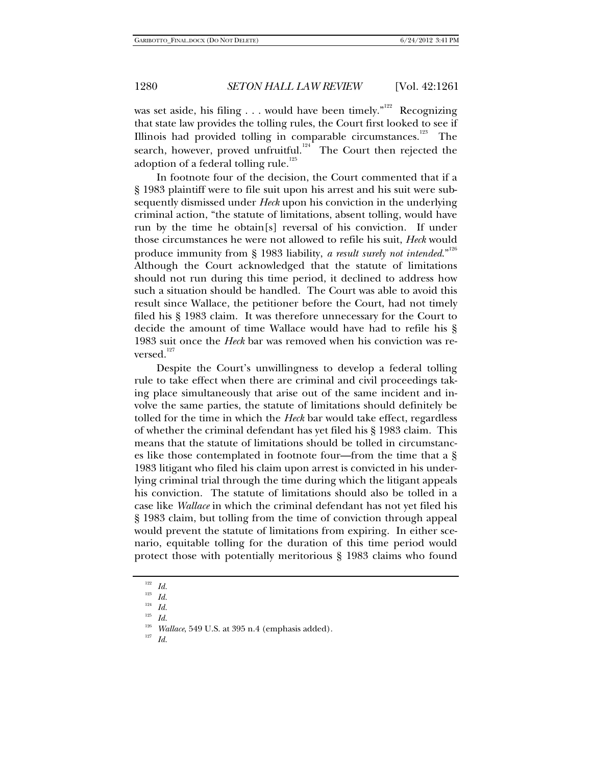was set aside, his filing . . . would have been timely."<sup>122</sup> Recognizing that state law provides the tolling rules, the Court first looked to see if Illinois had provided tolling in comparable circumstances.<sup>123</sup> The search, however, proved unfruitful.<sup>124</sup> The Court then rejected the adoption of a federal tolling rule. $^{125}$ 

In footnote four of the decision, the Court commented that if a § 1983 plaintiff were to file suit upon his arrest and his suit were subsequently dismissed under *Heck* upon his conviction in the underlying criminal action, "the statute of limitations, absent tolling, would have run by the time he obtain[s] reversal of his conviction. If under those circumstances he were not allowed to refile his suit, *Heck* would produce immunity from § 1983 liability, *a result surely not intended*."<sup>126</sup> Although the Court acknowledged that the statute of limitations should not run during this time period, it declined to address how such a situation should be handled. The Court was able to avoid this result since Wallace, the petitioner before the Court, had not timely filed his § 1983 claim. It was therefore unnecessary for the Court to decide the amount of time Wallace would have had to refile his § 1983 suit once the *Heck* bar was removed when his conviction was reversed.<sup>127</sup>

Despite the Court's unwillingness to develop a federal tolling rule to take effect when there are criminal and civil proceedings taking place simultaneously that arise out of the same incident and involve the same parties, the statute of limitations should definitely be tolled for the time in which the *Heck* bar would take effect, regardless of whether the criminal defendant has yet filed his § 1983 claim. This means that the statute of limitations should be tolled in circumstances like those contemplated in footnote four—from the time that a § 1983 litigant who filed his claim upon arrest is convicted in his underlying criminal trial through the time during which the litigant appeals his conviction. The statute of limitations should also be tolled in a case like *Wallace* in which the criminal defendant has not yet filed his § 1983 claim, but tolling from the time of conviction through appeal would prevent the statute of limitations from expiring. In either scenario, equitable tolling for the duration of this time period would protect those with potentially meritorious § 1983 claims who found

<sup>122</sup> *Id.*

 $\frac{123}{124}$  *Id.* 

 $\frac{124}{125}$  *Id.* 

<sup>125</sup> *Id.* 126 *Wallace*, 549 U.S. at 395 n.4 (emphasis added). 127 *Id.*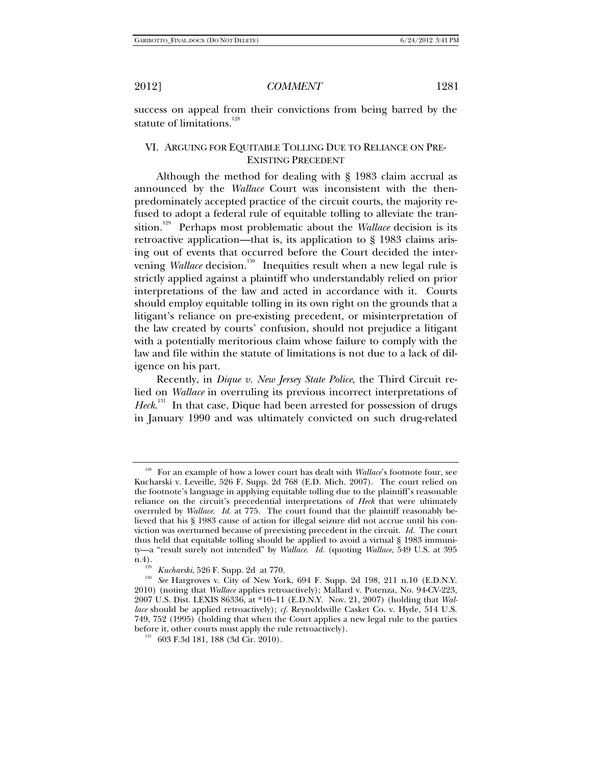success on appeal from their convictions from being barred by the statute of limitations.<sup>128</sup>

## VI. ARGUING FOR EQUITABLE TOLLING DUE TO RELIANCE ON PRE-EXISTING PRECEDENT

Although the method for dealing with § 1983 claim accrual as announced by the *Wallace* Court was inconsistent with the thenpredominately accepted practice of the circuit courts, the majority refused to adopt a federal rule of equitable tolling to alleviate the transition.<sup>129</sup> Perhaps most problematic about the *Wallace* decision is its retroactive application—that is, its application to § 1983 claims arising out of events that occurred before the Court decided the intervening *Wallace* decision.<sup>130</sup> Inequities result when a new legal rule is strictly applied against a plaintiff who understandably relied on prior interpretations of the law and acted in accordance with it. Courts should employ equitable tolling in its own right on the grounds that a litigant's reliance on pre-existing precedent, or misinterpretation of the law created by courts' confusion, should not prejudice a litigant with a potentially meritorious claim whose failure to comply with the law and file within the statute of limitations is not due to a lack of diligence on his part.

Recently, in *Dique v. New Jersey State Police*, the Third Circuit relied on *Wallace* in overruling its previous incorrect interpretations of Heck.<sup>131</sup> In that case, Dique had been arrested for possession of drugs in January 1990 and was ultimately convicted on such drug-related

<sup>&</sup>lt;sup>128</sup> For an example of how a lower court has dealt with *Wallace*'s footnote four, see Kucharski v. Leveille, 526 F. Supp. 2d 768 (E.D. Mich. 2007). The court relied on the footnote's language in applying equitable tolling due to the plaintiff's reasonable reliance on the circuit's precedential interpretations of *Heck* that were ultimately overruled by *Wallace*. *Id.* at 775. The court found that the plaintiff reasonably believed that his § 1983 cause of action for illegal seizure did not accrue until his conviction was overturned because of preexisting precedent in the circuit. *Id.* The court thus held that equitable tolling should be applied to avoid a virtual § 1983 immunity—a "result surely not intended" by *Wallace*. *Id.* (quoting *Wallace*, 549 U.S. at 395

n.4).<br><sup>129</sup> *Kucharski*, 526 F. Supp. 2d at 770.<br><sup>130</sup> *See* Hargroves v. City of New York, 694 F. Supp. 2d 198, 211 n.10 (E.D.N.Y. 2010) (noting that *Wallace* applies retroactively); Mallard v. Potenza, No. 94-CV-223, 2007 U.S. Dist. LEXIS 86336, at \*10–11 (E.D.N.Y. Nov. 21, 2007) (holding that *Wallace* should be applied retroactively); *cf.* Reynoldsville Casket Co. v. Hyde, 514 U.S. 749, 752 (1995) (holding that when the Court applies a new legal rule to the parties before it, other courts must apply the rule retroactively).<br><sup>131</sup> 603 F.3d 181, 188 (3d Cir. 2010).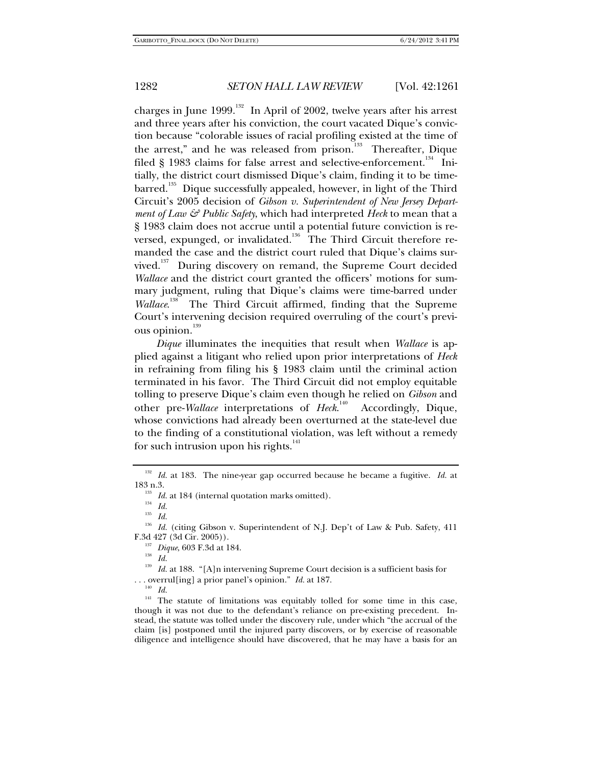charges in June 1999.<sup>132</sup> In April of 2002, twelve years after his arrest and three years after his conviction, the court vacated Dique's conviction because "colorable issues of racial profiling existed at the time of the arrest," and he was released from prison.<sup>133</sup> Thereafter, Dique filed  $\S$  1983 claims for false arrest and selective-enforcement.<sup>134</sup> Initially, the district court dismissed Dique's claim, finding it to be time $bared$ <sup>135</sup> Dique successfully appealed, however, in light of the Third Circuit's 2005 decision of *Gibson v. Superintendent of New Jersey Department of Law & Public Safety*, which had interpreted *Heck* to mean that a § 1983 claim does not accrue until a potential future conviction is reversed, expunged, or invalidated.<sup>136</sup> The Third Circuit therefore remanded the case and the district court ruled that Dique's claims survived.<sup>137</sup> During discovery on remand, the Supreme Court decided *Wallace* and the district court granted the officers' motions for summary judgment, ruling that Dique's claims were time-barred under *Wallace*. The Third Circuit affirmed, finding that the Supreme Court's intervening decision required overruling of the court's previous opinion.<sup>139</sup>

*Dique* illuminates the inequities that result when *Wallace* is applied against a litigant who relied upon prior interpretations of *Heck* in refraining from filing his § 1983 claim until the criminal action terminated in his favor. The Third Circuit did not employ equitable tolling to preserve Dique's claim even though he relied on *Gibson* and other pre-*Wallace* interpretations of *Heck*. Accordingly, Dique, whose convictions had already been overturned at the state-level due to the finding of a constitutional violation, was left without a remedy for such intrusion upon his rights.<sup>141</sup>

F.3d 427 (3d Cir. 2005)).<br><sup>137</sup> Dique, 603 F.3d at 184.<br><sup>139</sup> Id. at 188. "[A]n intervening Supreme Court decision is a sufficient basis for . . . overrul[ing] a prior panel's opinion." *Id.* at 187. 140 *Id.*

<sup>&</sup>lt;sup>132</sup> *Id.* at 183. The nine-year gap occurred because he became a fugitive. *Id.* at 183 n.3.

<sup>&</sup>lt;sup>133</sup> *Id.* at 184 (internal quotation marks omitted).<br><sup>134</sup> *Id.*<br><sup>135</sup> *Id.* (citing Gibson v. Superintendent of N.J. Dep't of Law & Pub. Safety, 411

<sup>&</sup>lt;sup>141</sup> The statute of limitations was equitably tolled for some time in this case, though it was not due to the defendant's reliance on pre-existing precedent. Instead, the statute was tolled under the discovery rule, under which "the accrual of the claim [is] postponed until the injured party discovers, or by exercise of reasonable diligence and intelligence should have discovered, that he may have a basis for an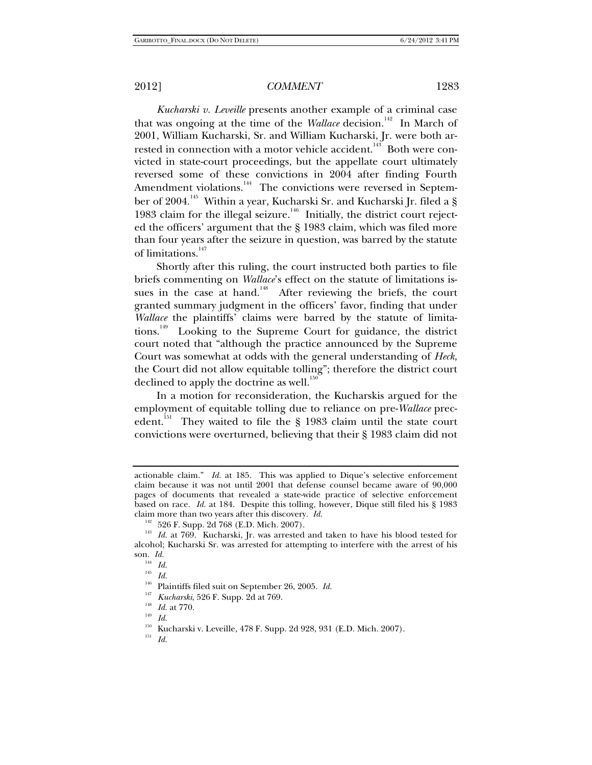*Kucharski v. Leveille* presents another example of a criminal case that was ongoing at the time of the *Wallace* decision.<sup>142</sup> In March of 2001, William Kucharski, Sr. and William Kucharski, Jr. were both arrested in connection with a motor vehicle accident.<sup>143</sup> Both were convicted in state-court proceedings, but the appellate court ultimately reversed some of these convictions in 2004 after finding Fourth Amendment violations.<sup>144</sup> The convictions were reversed in September of 2004.<sup>145</sup> Within a year, Kucharski Sr. and Kucharski Jr. filed a § 1983 claim for the illegal seizure.<sup>146</sup> Initially, the district court rejected the officers' argument that the § 1983 claim, which was filed more than four years after the seizure in question, was barred by the statute of limitations.<sup>147</sup>

Shortly after this ruling, the court instructed both parties to file briefs commenting on *Wallace*'s effect on the statute of limitations issues in the case at hand.<sup>148</sup> After reviewing the briefs, the court granted summary judgment in the officers' favor, finding that under *Wallace* the plaintiffs' claims were barred by the statute of limitations.149 Looking to the Supreme Court for guidance, the district court noted that "although the practice announced by the Supreme Court was somewhat at odds with the general understanding of *Heck*, the Court did not allow equitable tolling"; therefore the district court declined to apply the doctrine as well.<sup>150</sup>

In a motion for reconsideration, the Kucharskis argued for the employment of equitable tolling due to reliance on pre-*Wallace* precedent.<sup>151</sup> They waited to file the § 1983 claim until the state court convictions were overturned, believing that their § 1983 claim did not

 $^{145} \;$   $Id.$ 

actionable claim." *Id.* at 185. This was applied to Dique's selective enforcement claim because it was not until 2001 that defense counsel became aware of 90,000 pages of documents that revealed a state-wide practice of selective enforcement based on race. *Id.* at 184. Despite this tolling, however, Dique still filed his § 1983

claim more than two years after this discovery. *Id.*<br><sup>142</sup> 526 F. Supp. 2d 768 (E.D. Mich. 2007).<br><sup>143</sup> *Id.* at 769. Kucharski, Jr. was arrested and taken to have his blood tested for alcohol; Kucharski Sr. was arrested for attempting to interfere with the arrest of his son. *Id.*

<sup>&</sup>lt;sup>146</sup> Plaintiffs filed suit on September 26, 2005. *Id.*<br>
<sup>147</sup> *Kucharski*, 526 F. Supp. 2d at 769.<br> *Id.* at 770.<br>
<sup>159</sup> *Id.* 1478 *E*. Supp. 3d 098. 031

<sup>150</sup> Kucharski v. Leveille, 478 F. Supp. 2d 928, 931 (E.D. Mich. 2007). 151 *Id.*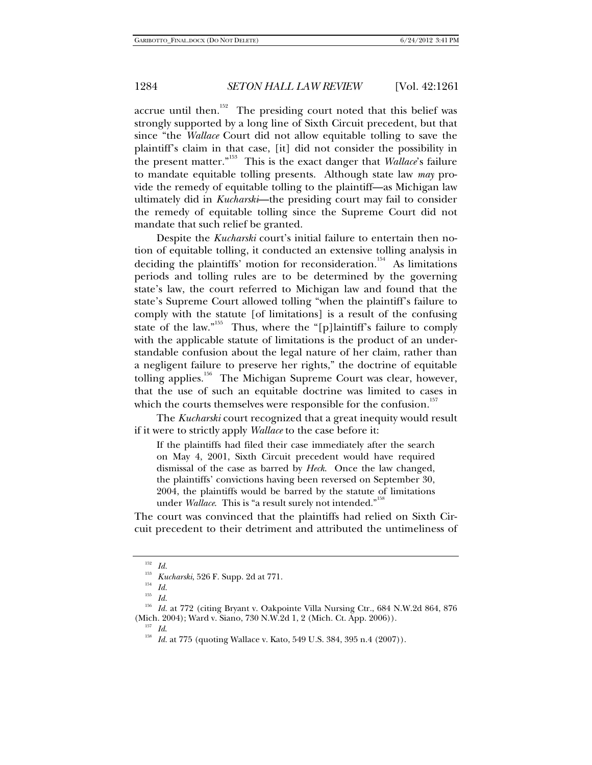accrue until then.<sup>152</sup> The presiding court noted that this belief was strongly supported by a long line of Sixth Circuit precedent, but that since "the *Wallace* Court did not allow equitable tolling to save the plaintiff's claim in that case, [it] did not consider the possibility in the present matter."153 This is the exact danger that *Wallace*'s failure to mandate equitable tolling presents. Although state law *may* provide the remedy of equitable tolling to the plaintiff—as Michigan law ultimately did in *Kucharski*—the presiding court may fail to consider the remedy of equitable tolling since the Supreme Court did not mandate that such relief be granted.

Despite the *Kucharski* court's initial failure to entertain then notion of equitable tolling, it conducted an extensive tolling analysis in deciding the plaintiffs' motion for reconsideration.<sup>154</sup> As limitations periods and tolling rules are to be determined by the governing state's law, the court referred to Michigan law and found that the state's Supreme Court allowed tolling "when the plaintiff's failure to comply with the statute [of limitations] is a result of the confusing state of the law."<sup>155</sup> Thus, where the "[p]laintiff's failure to comply with the applicable statute of limitations is the product of an understandable confusion about the legal nature of her claim, rather than a negligent failure to preserve her rights," the doctrine of equitable tolling applies.<sup>156</sup> The Michigan Supreme Court was clear, however, that the use of such an equitable doctrine was limited to cases in which the courts themselves were responsible for the confusion.<sup>157</sup>

The *Kucharski* court recognized that a great inequity would result if it were to strictly apply *Wallace* to the case before it:

If the plaintiffs had filed their case immediately after the search on May 4, 2001, Sixth Circuit precedent would have required dismissal of the case as barred by *Heck*. Once the law changed, the plaintiffs' convictions having been reversed on September 30, 2004, the plaintiffs would be barred by the statute of limitations under *Wallace*. This is "a result surely not intended."<sup>158</sup>

The court was convinced that the plaintiffs had relied on Sixth Circuit precedent to their detriment and attributed the untimeliness of

<sup>152</sup> *Id.*

<sup>153</sup> *Kucharski*, 526 F. Supp. 2d at 771. 154 *Id.*

<sup>155</sup> *Id.*

<sup>&</sup>lt;sup>156</sup> *Id.* at 772 (citing Bryant v. Oakpointe Villa Nursing Ctr., 684 N.W.2d 864, 876 (Mich. 2004); Ward v. Siano, 730 N.W.2d 1, 2 (Mich. Ct. App. 2006)).

<sup>&</sup>lt;sup>157</sup> *Id.* 2007). <sup>157</sup> Id. at 775 (quoting Wallace v. Kato, 549 U.S. 384, 395 n.4 (2007)).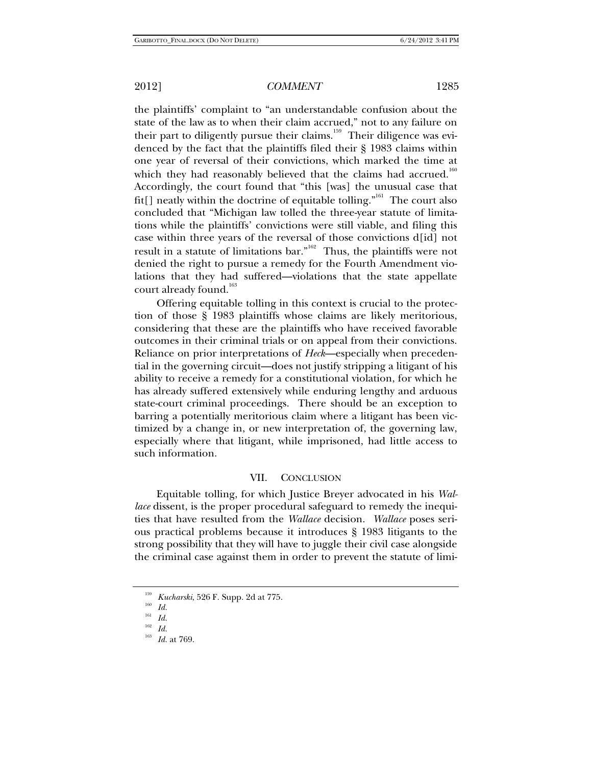the plaintiffs' complaint to "an understandable confusion about the state of the law as to when their claim accrued," not to any failure on their part to diligently pursue their claims.<sup>159</sup> Their diligence was evidenced by the fact that the plaintiffs filed their § 1983 claims within one year of reversal of their convictions, which marked the time at which they had reasonably believed that the claims had accrued.<sup>160</sup> Accordingly, the court found that "this [was] the unusual case that fit[] neatly within the doctrine of equitable tolling."<sup>161</sup> The court also concluded that "Michigan law tolled the three-year statute of limitations while the plaintiffs' convictions were still viable, and filing this case within three years of the reversal of those convictions d[id] not result in a statute of limitations bar."<sup>162</sup> Thus, the plaintiffs were not denied the right to pursue a remedy for the Fourth Amendment violations that they had suffered—violations that the state appellate court already found.<sup>163</sup>

Offering equitable tolling in this context is crucial to the protection of those § 1983 plaintiffs whose claims are likely meritorious, considering that these are the plaintiffs who have received favorable outcomes in their criminal trials or on appeal from their convictions. Reliance on prior interpretations of *Heck*—especially when precedential in the governing circuit—does not justify stripping a litigant of his ability to receive a remedy for a constitutional violation, for which he has already suffered extensively while enduring lengthy and arduous state-court criminal proceedings. There should be an exception to barring a potentially meritorious claim where a litigant has been victimized by a change in, or new interpretation of, the governing law, especially where that litigant, while imprisoned, had little access to such information.

## VII. CONCLUSION

Equitable tolling, for which Justice Breyer advocated in his *Wallace* dissent, is the proper procedural safeguard to remedy the inequities that have resulted from the *Wallace* decision. *Wallace* poses serious practical problems because it introduces § 1983 litigants to the strong possibility that they will have to juggle their civil case alongside the criminal case against them in order to prevent the statute of limi-

<sup>&</sup>lt;sup>159</sup> *Kucharski*, 526 F. Supp. 2d at 775.<br><sup>160</sup> *Id.* 

 $\frac{161}{162}$  *Id.* 

<sup>162</sup> *Id.*

*Id.* at 769.